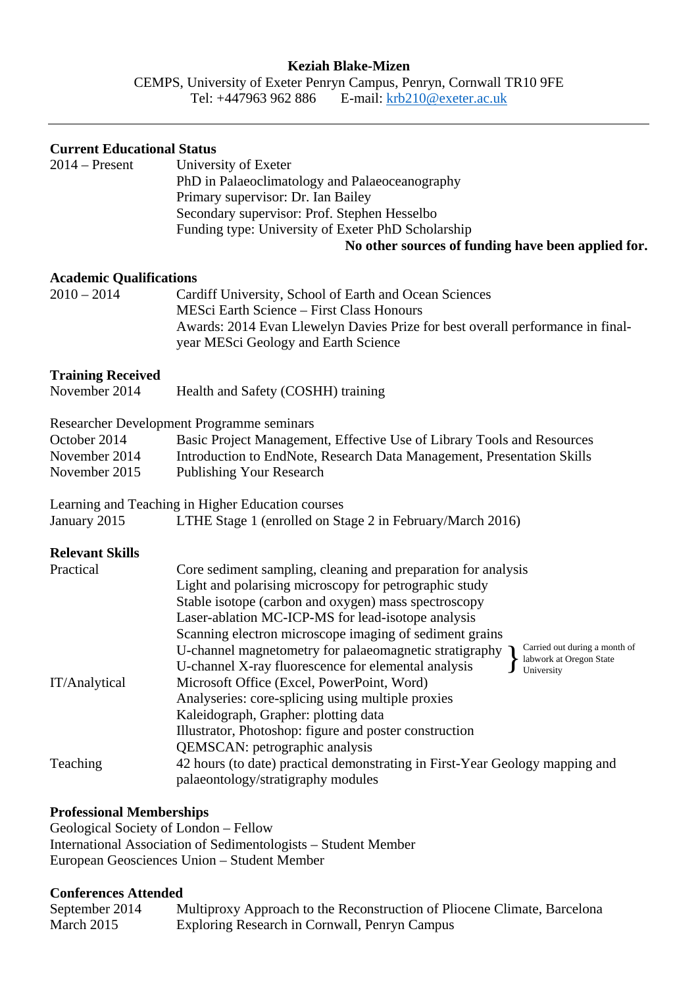### **Keziah Blake-Mizen**

CEMPS, University of Exeter Penryn Campus, Penryn, Cornwall TR10 9FE Tel: +447963 962 886 E-mail: **krb210@exeter.ac.uk** 

| <b>Current Educational Status</b><br>$2014$ – Present | University of Exeter<br>PhD in Palaeoclimatology and Palaeoceanography<br>Primary supervisor: Dr. Ian Bailey<br>Secondary supervisor: Prof. Stephen Hesselbo<br>Funding type: University of Exeter PhD Scholarship<br>No other sources of funding have been applied for.                                                                                                                                                             |
|-------------------------------------------------------|--------------------------------------------------------------------------------------------------------------------------------------------------------------------------------------------------------------------------------------------------------------------------------------------------------------------------------------------------------------------------------------------------------------------------------------|
| <b>Academic Qualifications</b><br>$2010 - 2014$       | Cardiff University, School of Earth and Ocean Sciences<br><b>MESci Earth Science - First Class Honours</b><br>Awards: 2014 Evan Llewelyn Davies Prize for best overall performance in final-<br>year MESci Geology and Earth Science                                                                                                                                                                                                 |
| <b>Training Received</b><br>November 2014             | Health and Safety (COSHH) training                                                                                                                                                                                                                                                                                                                                                                                                   |
| October 2014<br>November 2014<br>November 2015        | Researcher Development Programme seminars<br>Basic Project Management, Effective Use of Library Tools and Resources<br>Introduction to EndNote, Research Data Management, Presentation Skills<br><b>Publishing Your Research</b>                                                                                                                                                                                                     |
| January 2015                                          | Learning and Teaching in Higher Education courses<br>LTHE Stage 1 (enrolled on Stage 2 in February/March 2016)                                                                                                                                                                                                                                                                                                                       |
| <b>Relevant Skills</b><br>Practical                   | Core sediment sampling, cleaning and preparation for analysis<br>Light and polarising microscopy for petrographic study<br>Stable isotope (carbon and oxygen) mass spectroscopy<br>Laser-ablation MC-ICP-MS for lead-isotope analysis<br>Scanning electron microscope imaging of sediment grains<br>Carried out during a month of<br>U-channel magnetometry for palaeomagnetic stratigraphy<br>labwork at Oregon State<br>University |
| IT/Analytical                                         | U-channel X-ray fluorescence for elemental analysis<br>Microsoft Office (Excel, PowerPoint, Word)<br>Analyseries: core-splicing using multiple proxies<br>Kaleidograph, Grapher: plotting data<br>Illustrator, Photoshop: figure and poster construction                                                                                                                                                                             |
| Teaching                                              | QEMSCAN: petrographic analysis<br>42 hours (to date) practical demonstrating in First-Year Geology mapping and<br>palaeontology/stratigraphy modules                                                                                                                                                                                                                                                                                 |

#### **Professional Memberships**

Geological Society of London – Fellow International Association of Sedimentologists – Student Member European Geosciences Union – Student Member

### **Conferences Attended**

| September 2014 | Multiproxy Approach to the Reconstruction of Pliocene Climate, Barcelona |
|----------------|--------------------------------------------------------------------------|
| March 2015     | Exploring Research in Cornwall, Penryn Campus                            |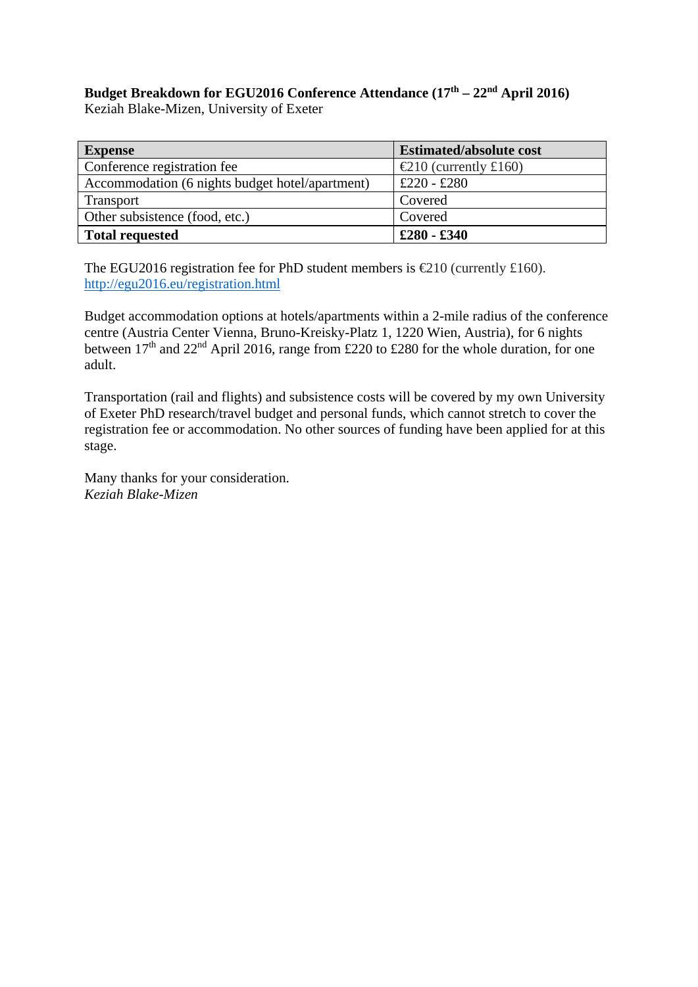# Budget Breakdown for EGU2016 Conference Attendance (17<sup>th</sup> – 22<sup>nd</sup> April 2016)

Keziah Blake-Mizen, University of Exeter

| <b>Expense</b>                                  | <b>Estimated/absolute cost</b>            |
|-------------------------------------------------|-------------------------------------------|
| Conference registration fee                     | $\text{\textsterling}10$ (currently £160) |
| Accommodation (6 nights budget hotel/apartment) | £220 - £280                               |
| <b>Transport</b>                                | Covered                                   |
| Other subsistence (food, etc.)                  | Covered                                   |
| <b>Total requested</b>                          | $£280 - £340$                             |

The EGU2016 registration fee for PhD student members is  $\text{\textsterling}210$  (currently £160). http://egu2016.eu/registration.html

Budget accommodation options at hotels/apartments within a 2-mile radius of the conference centre (Austria Center Vienna, Bruno-Kreisky-Platz 1, 1220 Wien, Austria), for 6 nights between  $17<sup>th</sup>$  and  $22<sup>nd</sup>$  April 2016, range from £220 to £280 for the whole duration, for one adult.

Transportation (rail and flights) and subsistence costs will be covered by my own University of Exeter PhD research/travel budget and personal funds, which cannot stretch to cover the registration fee or accommodation. No other sources of funding have been applied for at this stage.

Many thanks for your consideration. *Keziah Blake-Mizen*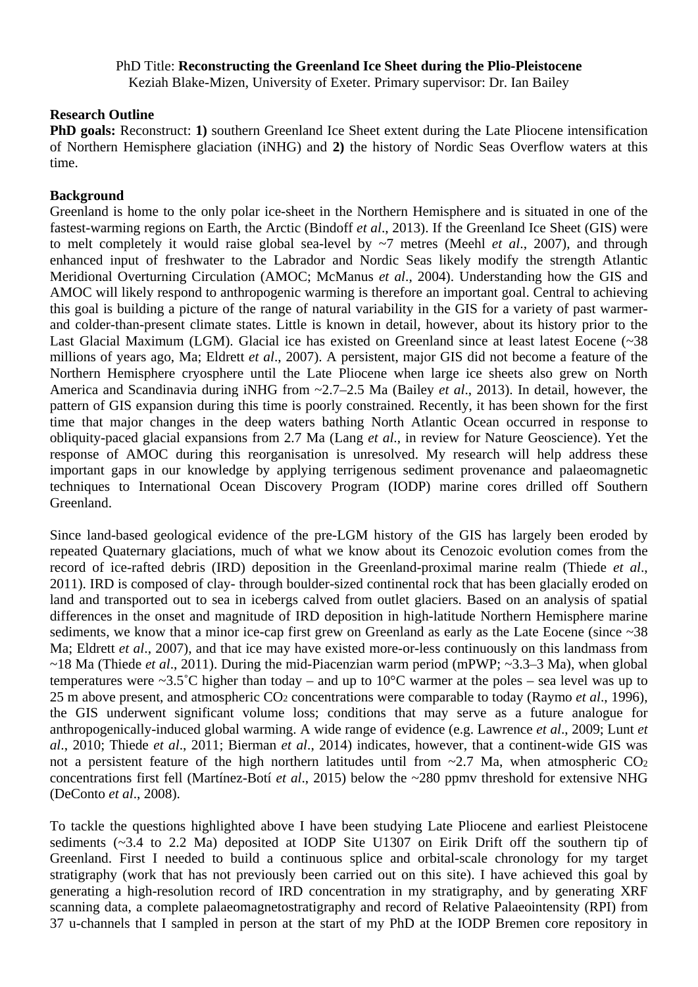# PhD Title: **Reconstructing the Greenland Ice Sheet during the Plio-Pleistocene**

Keziah Blake-Mizen, University of Exeter. Primary supervisor: Dr. Ian Bailey

# **Research Outline**

**PhD goals:** Reconstruct: 1) southern Greenland Ice Sheet extent during the Late Pliocene intensification of Northern Hemisphere glaciation (iNHG) and **2)** the history of Nordic Seas Overflow waters at this time.

# **Background**

Greenland is home to the only polar ice-sheet in the Northern Hemisphere and is situated in one of the fastest-warming regions on Earth, the Arctic (Bindoff *et al*., 2013). If the Greenland Ice Sheet (GIS) were to melt completely it would raise global sea-level by ~7 metres (Meehl *et al*., 2007), and through enhanced input of freshwater to the Labrador and Nordic Seas likely modify the strength Atlantic Meridional Overturning Circulation (AMOC; McManus *et al*., 2004). Understanding how the GIS and AMOC will likely respond to anthropogenic warming is therefore an important goal. Central to achieving this goal is building a picture of the range of natural variability in the GIS for a variety of past warmerand colder-than-present climate states. Little is known in detail, however, about its history prior to the Last Glacial Maximum (LGM). Glacial ice has existed on Greenland since at least latest Eocene (~38 millions of years ago, Ma; Eldrett *et al*., 2007). A persistent, major GIS did not become a feature of the Northern Hemisphere cryosphere until the Late Pliocene when large ice sheets also grew on North America and Scandinavia during iNHG from ~2.7–2.5 Ma (Bailey *et al*., 2013). In detail, however, the pattern of GIS expansion during this time is poorly constrained. Recently, it has been shown for the first time that major changes in the deep waters bathing North Atlantic Ocean occurred in response to obliquity-paced glacial expansions from 2.7 Ma (Lang *et al*., in review for Nature Geoscience). Yet the response of AMOC during this reorganisation is unresolved. My research will help address these important gaps in our knowledge by applying terrigenous sediment provenance and palaeomagnetic techniques to International Ocean Discovery Program (IODP) marine cores drilled off Southern Greenland.

Since land-based geological evidence of the pre-LGM history of the GIS has largely been eroded by repeated Quaternary glaciations, much of what we know about its Cenozoic evolution comes from the record of ice-rafted debris (IRD) deposition in the Greenland-proximal marine realm (Thiede *et al*., 2011). IRD is composed of clay- through boulder-sized continental rock that has been glacially eroded on land and transported out to sea in icebergs calved from outlet glaciers. Based on an analysis of spatial differences in the onset and magnitude of IRD deposition in high-latitude Northern Hemisphere marine sediments, we know that a minor ice-cap first grew on Greenland as early as the Late Eocene (since ~38) Ma; Eldrett *et al*., 2007), and that ice may have existed more-or-less continuously on this landmass from ~18 Ma (Thiede *et al*., 2011). During the mid-Piacenzian warm period (mPWP; ~3.3–3 Ma), when global temperatures were ~3.5°C higher than today – and up to 10°C warmer at the poles – sea level was up to 25 m above present, and atmospheric CO2 concentrations were comparable to today (Raymo *et al*., 1996), the GIS underwent significant volume loss; conditions that may serve as a future analogue for anthropogenically-induced global warming. A wide range of evidence (e.g. Lawrence *et al*., 2009; Lunt *et al*., 2010; Thiede *et al*., 2011; Bierman *et al*., 2014) indicates, however, that a continent-wide GIS was not a persistent feature of the high northern latitudes until from  $\sim$ 2.7 Ma, when atmospheric CO<sub>2</sub> concentrations first fell (Martínez-Botí *et al*., 2015) below the ~280 ppmv threshold for extensive NHG (DeConto *et al*., 2008).

To tackle the questions highlighted above I have been studying Late Pliocene and earliest Pleistocene sediments (~3.4 to 2.2 Ma) deposited at IODP Site U1307 on Eirik Drift off the southern tip of Greenland. First I needed to build a continuous splice and orbital-scale chronology for my target stratigraphy (work that has not previously been carried out on this site). I have achieved this goal by generating a high-resolution record of IRD concentration in my stratigraphy, and by generating XRF scanning data, a complete palaeomagnetostratigraphy and record of Relative Palaeointensity (RPI) from 37 u-channels that I sampled in person at the start of my PhD at the IODP Bremen core repository in